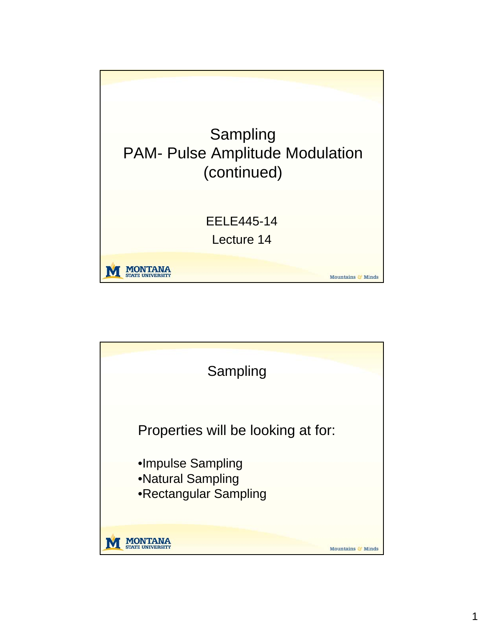

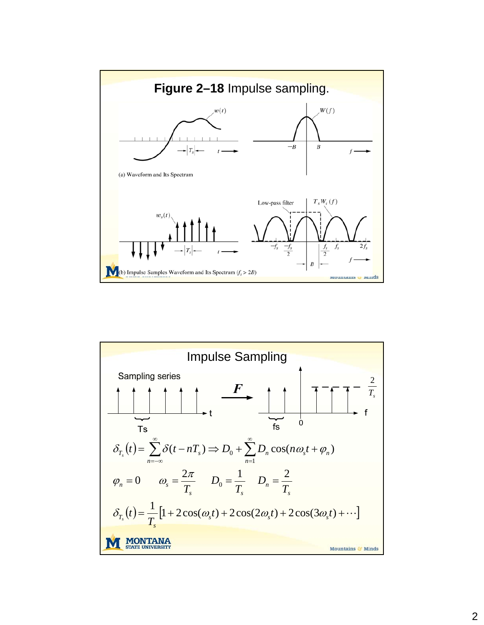

**Impulse Sampling  
\nSampling series**\n
$$
\frac{1}{\sqrt{15}}\int_{\frac{\pi}{15}}^{\frac{\pi}{15}} \frac{F}{\sqrt{15}} \int_{\frac{\pi}{15}}^{\frac{\pi}{15}} \frac{F}{\sqrt{15}} \int_{\frac{\pi}{15}}^{\frac{\pi}{15}} \frac{F}{\sqrt{15}} \int_{\frac{\pi}{15}}^{\frac{\pi}{15}} \frac{F}{\sqrt{15}} \int_{\frac{\pi}{15}}^{\frac{\pi}{15}} \frac{F}{\sqrt{15}} \int_{\frac{\pi}{15}}^{\frac{\pi}{15}} \frac{F}{\sqrt{15}} \int_{\frac{\pi}{15}}^{\frac{\pi}{15}} \frac{F}{\sqrt{15}} \int_{\frac{\pi}{15}}^{\frac{\pi}{15}} \frac{F}{\sqrt{15}} \int_{\frac{\pi}{15}}^{\frac{\pi}{15}} \frac{F}{\sqrt{15}} \int_{\frac{\pi}{15}}^{\frac{\pi}{15}} \frac{F}{\sqrt{15}} \int_{\frac{\pi}{15}}^{\frac{\pi}{15}} \frac{F}{\sqrt{15}} \int_{\frac{\pi}{15}}^{\frac{\pi}{15}} \frac{F}{\sqrt{15}} \int_{\frac{\pi}{15}}^{\frac{\pi}{15}} \frac{F}{\sqrt{15}} \int_{\frac{\pi}{15}}^{\frac{\pi}{15}} \frac{F}{\sqrt{15}} \int_{\frac{\pi}{15}}^{\frac{\pi}{15}} \frac{F}{\sqrt{15}} \int_{\frac{\pi}{15}}^{\frac{\pi}{15}} \frac{F}{\sqrt{15}} \int_{\frac{\pi}{15}}^{\frac{\pi}{15}} \frac{F}{\sqrt{15}} \int_{\frac{\pi}{15}}^{\frac{\pi}{15}} \frac{F}{\sqrt{15}} \int_{\frac{\pi}{15}}^{\frac{\pi}{15}} \frac{F}{\sqrt{15}} \int_{\frac{\pi}{15}}^{\frac{\pi}{15}} \frac{F}{\sqrt{15}} \int_{\frac{\pi}{15}}^{\frac{\pi}{15}} \frac{F}{\sqrt{15}} \int_{\frac{\pi}{15}}^{\frac{\pi}{15}} \frac{F}{\sqrt{15}} \int_{\frac{\pi}{15}}^{\frac{\pi}{15}} \frac{F}{\sqrt{15}} \int_{\frac{\pi}{15}}^{\frac{\pi}{15}} \frac
$$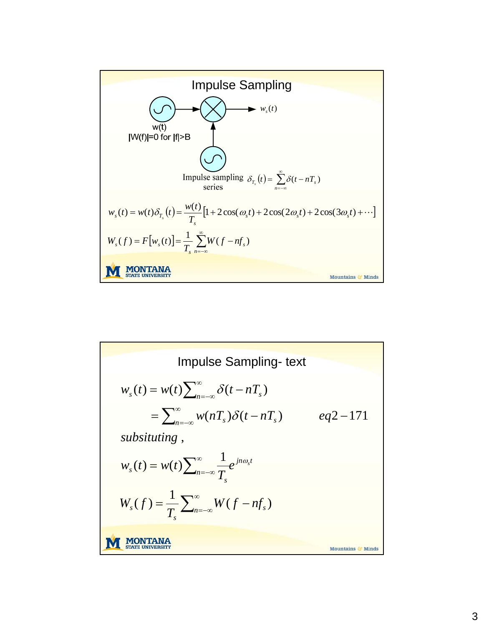

Impulse Sampling-text  
\n
$$
w_s(t) = w(t) \sum_{n=-\infty}^{\infty} \delta(t - nT_s)
$$
\n
$$
= \sum_{n=-\infty}^{\infty} w(nT_s) \delta(t - nT_s) \qquad eq2 - 171
$$
\nsubstituting,  
\n
$$
w_s(t) = w(t) \sum_{n=-\infty}^{\infty} \frac{1}{T_s} e^{jn\omega_s t}
$$
\n
$$
W_s(f) = \frac{1}{T_s} \sum_{n=-\infty}^{\infty} W(f - nf_s)
$$
\nM ONITANA  
\nSINITANA  
\nM ONITANA  
\nMOMITANA  
\nMOMITANA  
\nMOMITANS C Minds C MINDS C MInds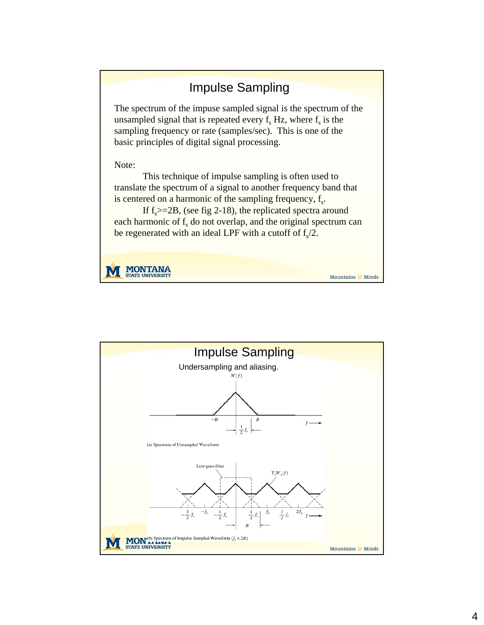## Impulse Sampling

The spectrum of the impuse sampled signal is the spectrum of the unsampled signal that is repeated every  $f_s$  Hz, where  $f_s$  is the sampling frequency or rate (samples/sec). This is one of the basic principles of digital signal processing.

## Note:

This technique of impulse sampling is often used to translate the spectrum of a signal to another frequency band that is centered on a harmonic of the sampling frequency,  $f_s$ .

If  $f_s$  = 2B, (see fig 2-18), the replicated spectra around each harmonic of  $f<sub>s</sub>$  do not overlap, and the original spectrum can be regenerated with an ideal LPF with a cutoff of  $f_s/2$ .

Mountains & Minds

**MONTANA**<br>STATE UNIVERSITY

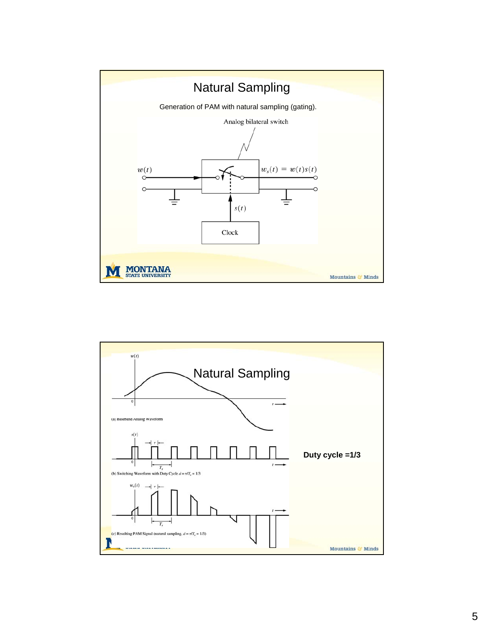

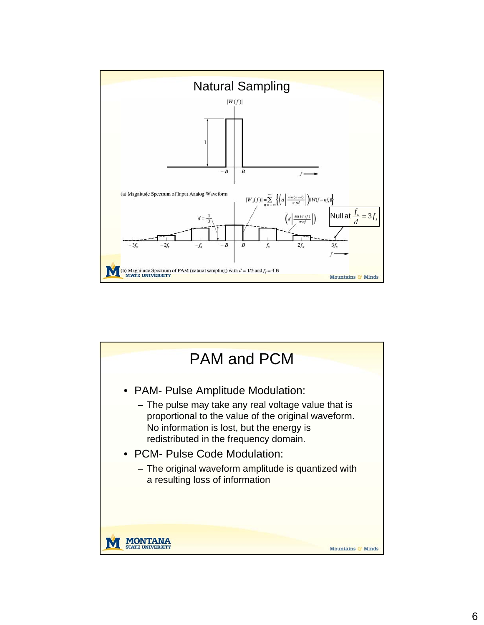

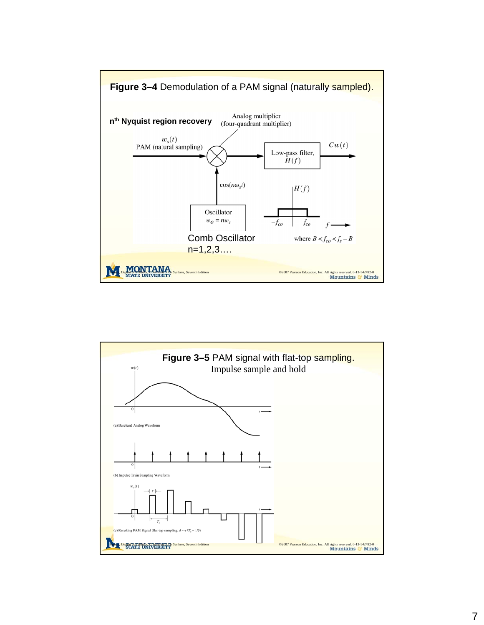

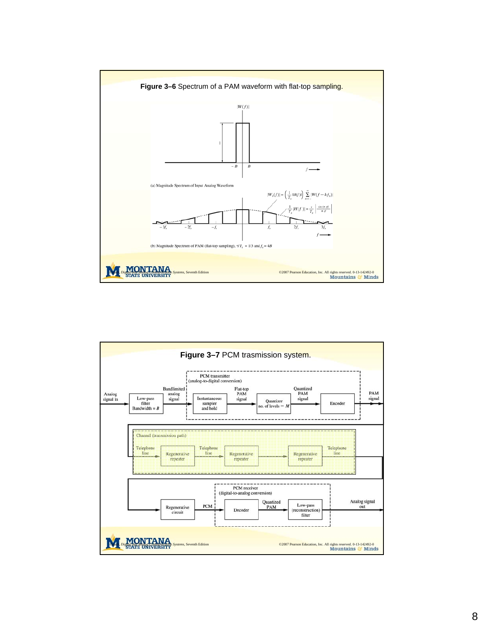

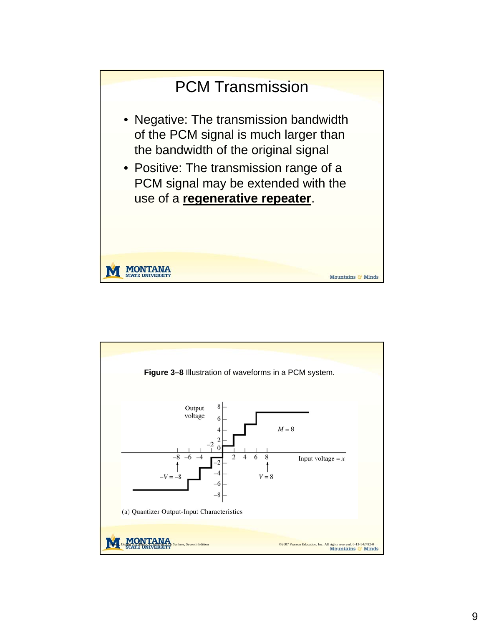

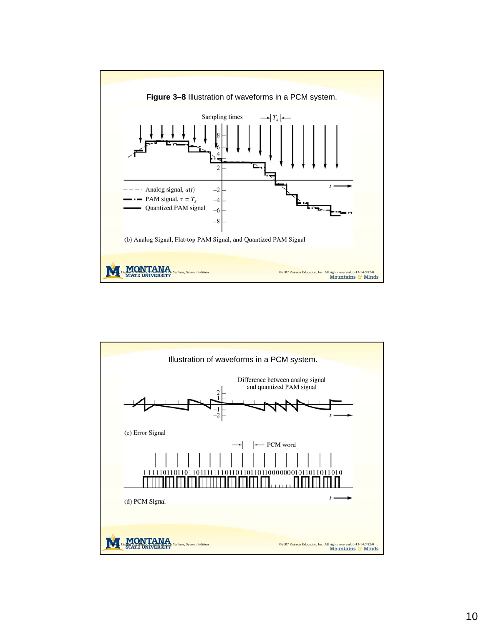

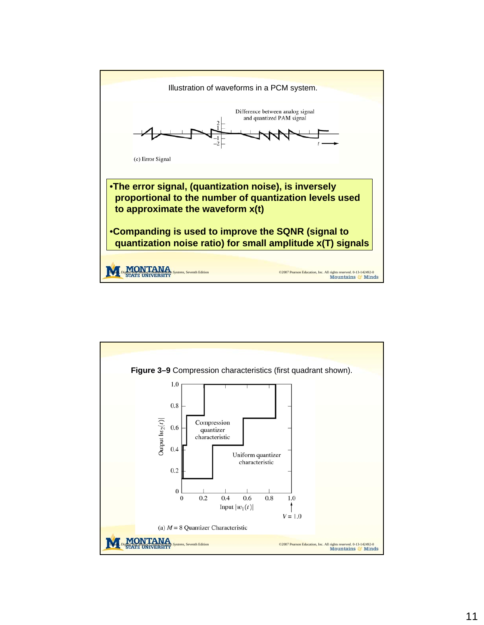

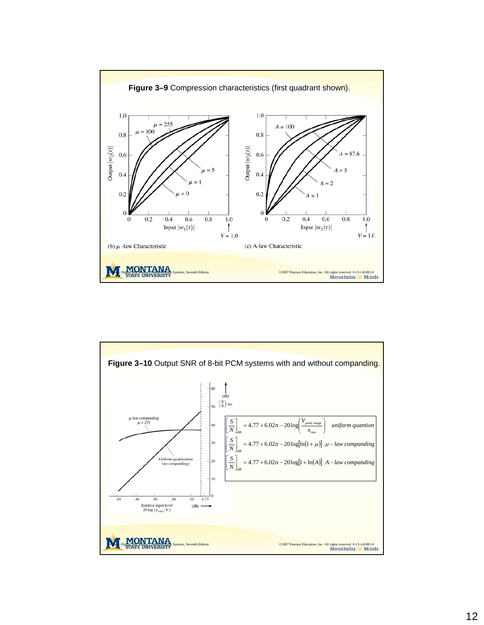

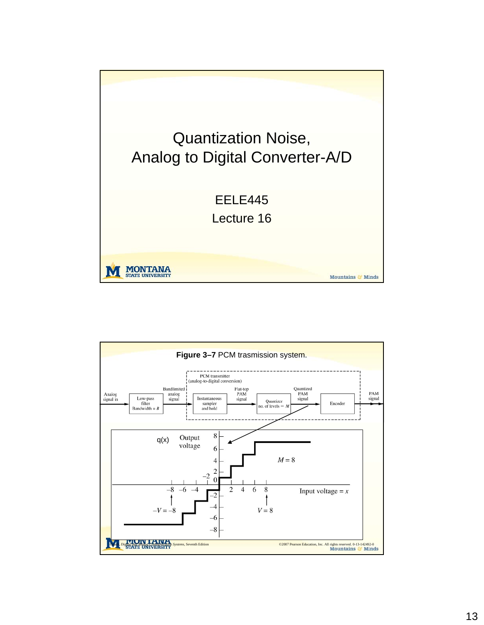

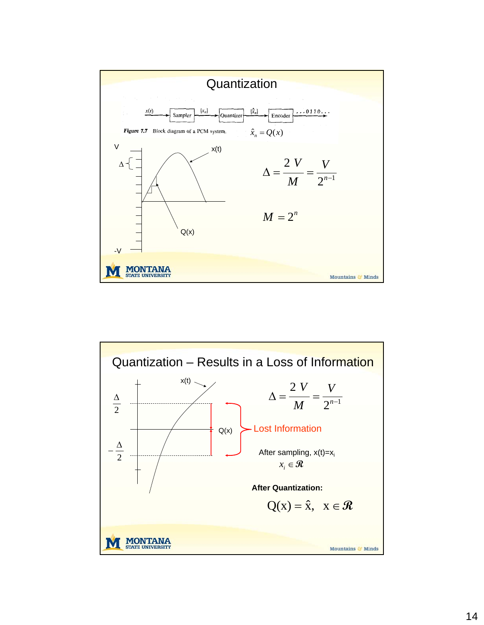

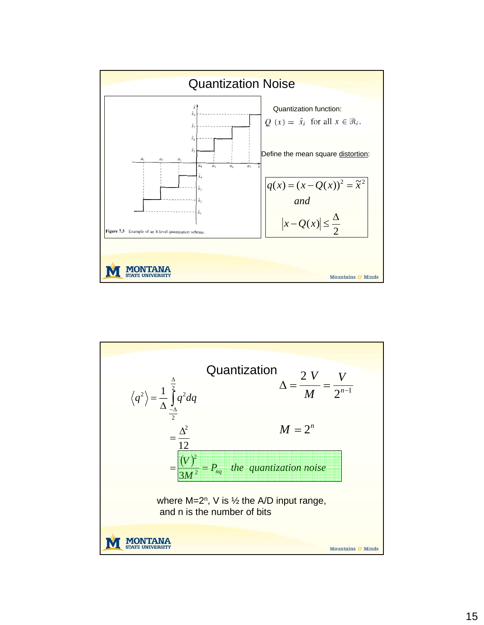

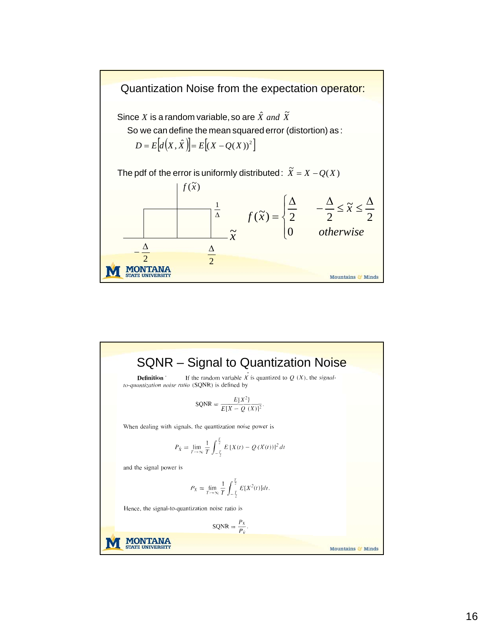

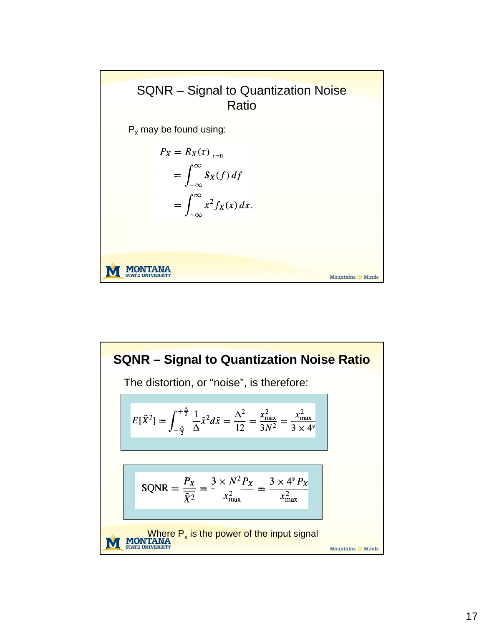

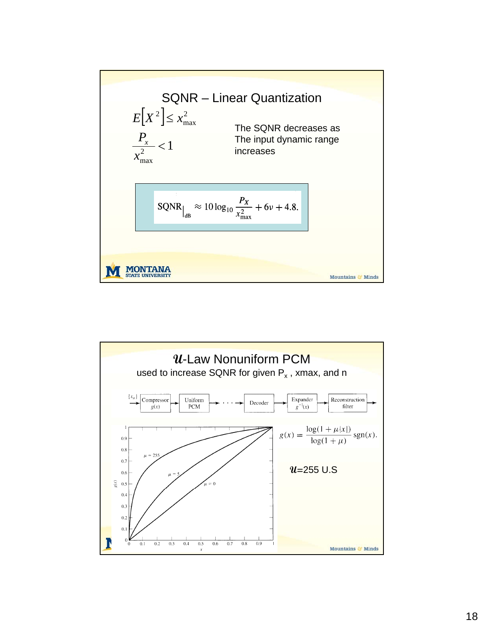

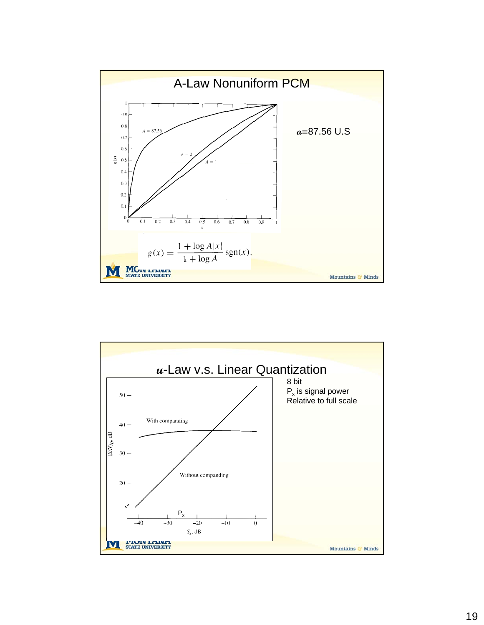